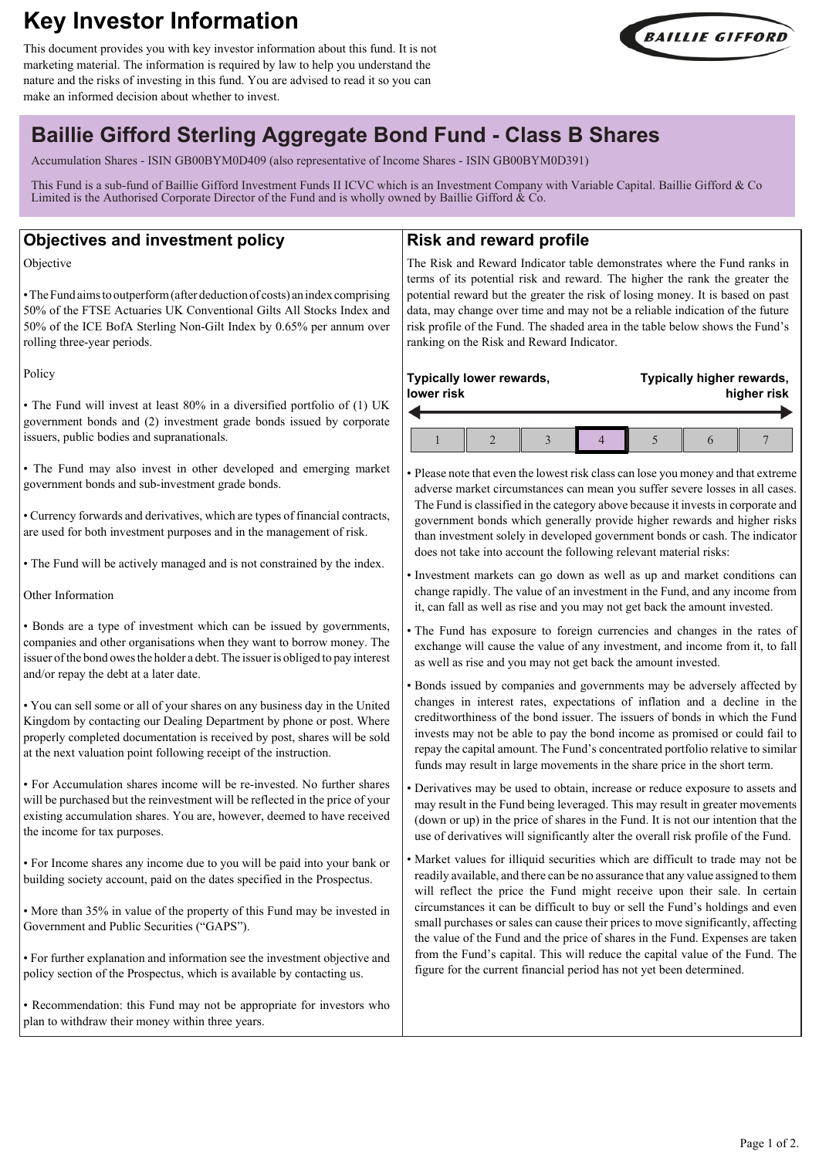# **Key Investor Information**

This document provides you with key investor information about this fund. It is not marketing material. The information is required by law to help you understand the nature and the risks of investing in this fund. You are advised to read it so you can make an informed decision about whether to invest.



## **Baillie Gifford Sterling Aggregate Bond Fund - Class B Shares**

Accumulation Shares - ISIN GB00BYM0D409 (also representative of Income Shares - ISIN GB00BYM0D391)

This Fund is a sub-fund of Baillie Gifford Investment Funds II ICVC which is an Investment Company with Variable Capital. Baillie Gifford & Co Limited is the Authorised Corporate Director of the Fund and is wholly owned by Baillie Gifford  $\&$  Co.

### **Objectives and investment policy**

Objective

• The Fund aims to outperform (after deduction of costs) an index comprising 50% of the FTSE Actuaries UK Conventional Gilts All Stocks Index and 50% of the ICE BofA Sterling Non-Gilt Index by 0.65% per annum over rolling three-year periods.

Policy

• The Fund will invest at least 80% in a diversified portfolio of (1) UK government bonds and (2) investment grade bonds issued by corporate issuers, public bodies and supranationals.

• The Fund may also invest in other developed and emerging market government bonds and sub-investment grade bonds.

• Currency forwards and derivatives, which are types of financial contracts, are used for both investment purposes and in the management of risk.

• The Fund will be actively managed and is not constrained by the index.

Other Information

• Bonds are a type of investment which can be issued by governments, companies and other organisations when they want to borrow money. The issuer of the bond owes the holder a debt. The issuer is obliged to pay interest and/or repay the debt at a later date.

• You can sell some or all of your shares on any business day in the United Kingdom by contacting our Dealing Department by phone or post. Where properly completed documentation is received by post, shares will be sold at the next valuation point following receipt of the instruction.

• For Accumulation shares income will be re-invested. No further shares will be purchased but the reinvestment will be reflected in the price of your existing accumulation shares. You are, however, deemed to have received the income for tax purposes.

• For Income shares any income due to you will be paid into your bank or building society account, paid on the dates specified in the Prospectus.

• More than 35% in value of the property of this Fund may be invested in Government and Public Securities ("GAPS").

• For further explanation and information see the investment objective and policy section of the Prospectus, which is available by contacting us.

• Recommendation: this Fund may not be appropriate for investors who plan to withdraw their money within three years.

## **Risk and reward profile**

The Risk and Reward Indicator table demonstrates where the Fund ranks in terms of its potential risk and reward. The higher the rank the greater the potential reward but the greater the risk of losing money. It is based on past data, may change over time and may not be a reliable indication of the future risk profile of the Fund. The shaded area in the table below shows the Fund's ranking on the Risk and Reward Indicator.

| Typically lower rewards,<br>lower risk |  |  |  |  | Typically higher rewards,<br>higher risk |  |  |  |
|----------------------------------------|--|--|--|--|------------------------------------------|--|--|--|
|                                        |  |  |  |  |                                          |  |  |  |
|                                        |  |  |  |  |                                          |  |  |  |

• Please note that even the lowest risk class can lose you money and that extreme adverse market circumstances can mean you suffer severe losses in all cases. The Fund is classified in the category above because it invests in corporate and government bonds which generally provide higher rewards and higher risks than investment solely in developed government bonds or cash. The indicator does not take into account the following relevant material risks:

• Investment markets can go down as well as up and market conditions can change rapidly. The value of an investment in the Fund, and any income from it, can fall as well as rise and you may not get back the amount invested.

• The Fund has exposure to foreign currencies and changes in the rates of exchange will cause the value of any investment, and income from it, to fall as well as rise and you may not get back the amount invested.

• Bonds issued by companies and governments may be adversely affected by changes in interest rates, expectations of inflation and a decline in the creditworthiness of the bond issuer. The issuers of bonds in which the Fund invests may not be able to pay the bond income as promised or could fail to repay the capital amount. The Fund's concentrated portfolio relative to similar funds may result in large movements in the share price in the short term.

• Derivatives may be used to obtain, increase or reduce exposure to assets and may result in the Fund being leveraged. This may result in greater movements (down or up) in the price of shares in the Fund. It is not our intention that the use of derivatives will significantly alter the overall risk profile of the Fund.

Market values for illiquid securities which are difficult to trade may not be readily available, and there can be no assurance that any value assigned to them will reflect the price the Fund might receive upon their sale. In certain circumstances it can be difficult to buy or sell the Fund's holdings and even small purchases or sales can cause their prices to move significantly, affecting the value of the Fund and the price of shares in the Fund. Expenses are taken from the Fund's capital. This will reduce the capital value of the Fund. The figure for the current financial period has not yet been determined.